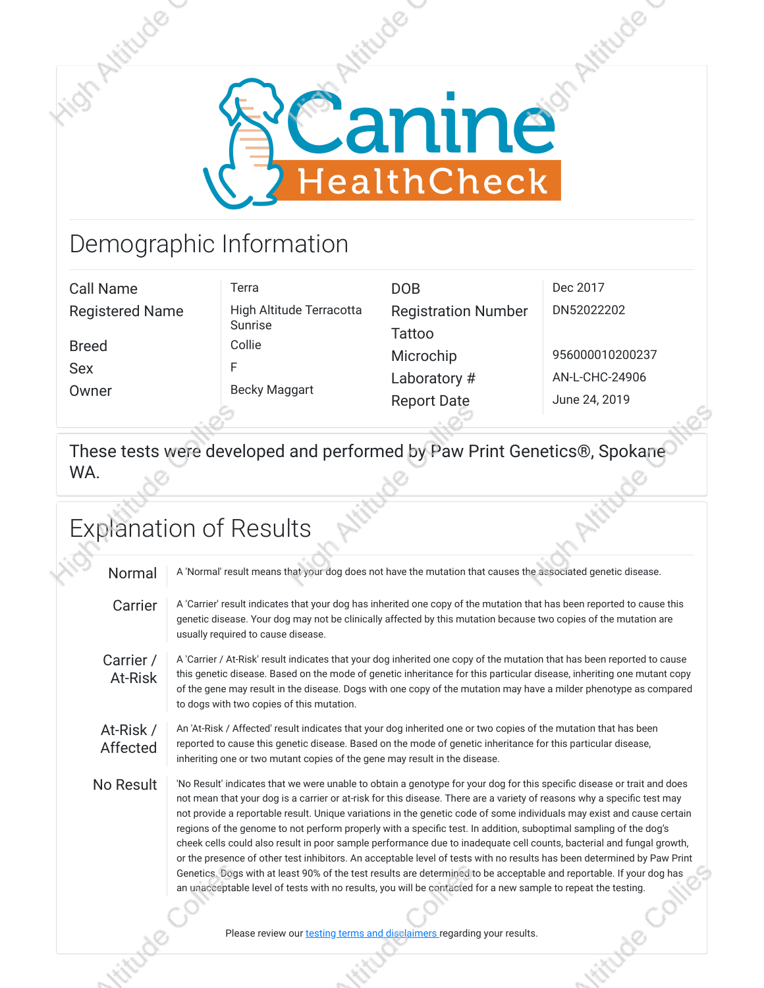

## Demographic Information

| Call Name              | Terra                    | <b>DOB</b>                 | Dec 2017        |
|------------------------|--------------------------|----------------------------|-----------------|
| <b>Registered Name</b> | High Altitude Terracotta | <b>Registration Number</b> | DN52022202      |
|                        | Sunrise                  | <b>Tattoo</b>              |                 |
| <b>Breed</b>           | Collie                   | Microchip                  | 956000010200237 |
| <b>Sex</b>             |                          | Laboratory #               | AN-L-CHC-24906  |
| Owner                  | <b>Becky Maggart</b>     | <b>Report Date</b>         | June 24, 2019   |
|                        |                          |                            |                 |

These tests were developed and performed by Paw Print Genetics®, Spokane WA.

## Explanation of Results Normal A 'Normal' result means that your dog does not have the mutation that causes the associated genetic disease. Carrier | A 'Carrier' result indicates that your dog has inherited one copy of the mutation that has been reported to cause this genetic disease. Your dog may not be clinically affected by this mutation because two copies of the mutation are usually required to cause disease. Carrier / At‑Risk A 'Carrier / At‑Risk' result indicates that your dog inherited one copy of the mutation that has been reported to cause this genetic disease. Based on the mode of genetic inheritance for this particular disease, inheriting one mutant copy of the gene may result in the disease. Dogs with one copy of the mutation may have a milder phenotype as compared to dogs with two copies of this mutation. At‑Risk / Affected An 'At-Risk / Affected' result indicates that your dog inherited one or two copies of the mutation that has been reported to cause this genetic disease. Based on the mode of genetic inheritance for this particular disease, inheriting one or two mutant copies of the gene may result in the disease. No Result | No Result' indicates that we were unable to obtain a genotype for your dog for this specific disease or trait and does not mean that your dog is a carrier or at-risk for this disease. There are a variety of reasons why a specific test may not provide a reportable result. Unique variations in the genetic code of some individuals may exist and cause certain regions of the genome to not perform properly with a specific test. In addition, suboptimal sampling of the dog's cheek cells could also result in poor sample performance due to inadequate cell counts, bacterial and fungal growth, or the presence of other test inhibitors. An acceptable level of tests with no results has been determined by Paw Print Genetics. Dogs with at least 90% of the test results are determined to be acceptable and reportable. If your dog has an unacceptable level of tests with no results, you will be contacted for a new sample to repeat the testing. Please review our [testing terms and disclaimers r](https://www.caninehealthcheck.com/policies/disclaimers)egarding your results.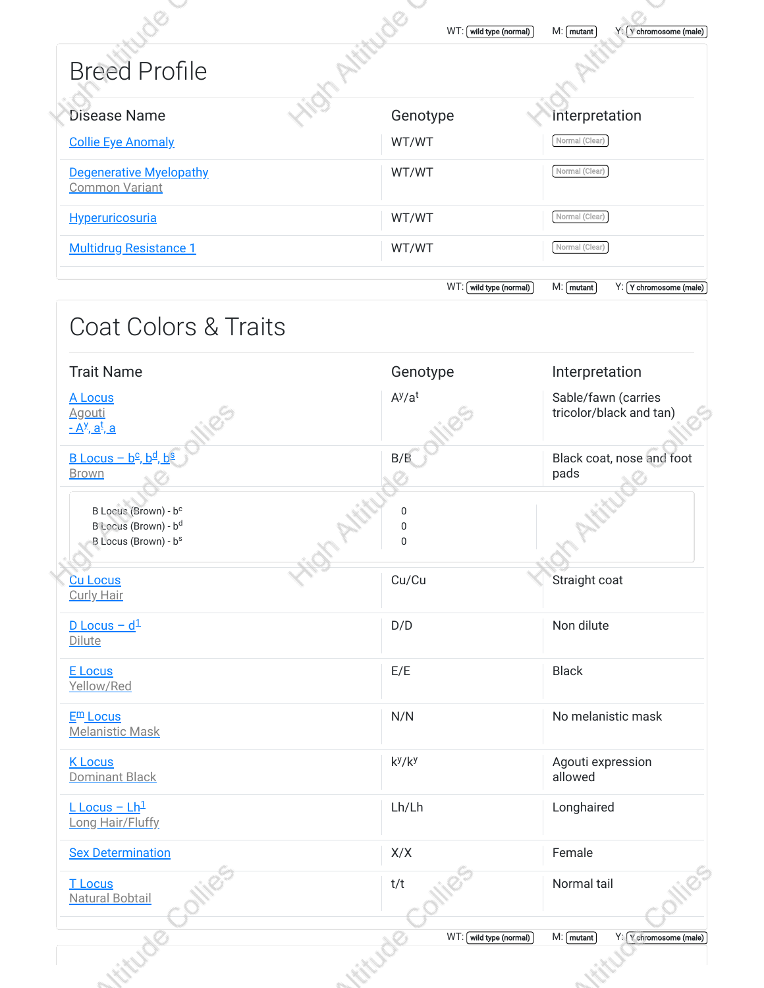| <b>Breed Profile</b>                                                                                     | <b>Str. Attitud</b>    |                                                |
|----------------------------------------------------------------------------------------------------------|------------------------|------------------------------------------------|
| <b>Disease Name</b>                                                                                      | Genotype               | Interpretation                                 |
| <b>Collie Eye Anomaly</b>                                                                                | WT/WT                  | Normal (Clear)                                 |
| <b>Degenerative Myelopathy</b><br><b>Common Variant</b>                                                  | WT/WT                  | Normal (Clear)                                 |
| <b>Hyperuricosuria</b>                                                                                   | WT/WT                  | Normal (Clear)                                 |
| <b>Multidrug Resistance 1</b>                                                                            | WT/WT                  | Normal (Clear)                                 |
|                                                                                                          | WT: wild type (normal) | $M:$ mutant<br>Y: Y chromosome (male)          |
| <b>Coat Colors &amp; Traits</b>                                                                          |                        |                                                |
| <b>Trait Name</b>                                                                                        | Genotype               | Interpretation                                 |
| A Locus<br><b>Agouti</b><br><u>- A<sup>y</sup>, a<sup>t</sup>, a</u>                                     | $A^{y}/a^{t}$          | Sable/fawn (carries<br>tricolor/black and tan) |
| $\underline{B}$ Locus - $\underline{b}^c$ , $\underline{b}^d$ , $\underline{b}^s$<br><b>Brown</b>        | B/B                    | Black coat, nose and foot<br>pads              |
| B Locus (Brown) - b <sup>c</sup><br>B Locus (Brown) - b <sup>d</sup><br>B Locus (Brown) - b <sup>s</sup> | 0<br>0<br>$\mathbf 0$  |                                                |
| <b>Cu Locus</b><br><b>Curly Hair</b>                                                                     | Cu/Cu                  | Straight coat                                  |
| $D$ Locus - $d^1$<br>Dilute                                                                              | D/D                    | Non dilute                                     |
| <b>E</b> Locus<br>Yellow/Red                                                                             | E/E                    | <b>Black</b>                                   |
| $E^{\text{m}}$ Locus<br><b>Melanistic Mask</b>                                                           | N/N                    | No melanistic mask                             |
| <b>K</b> Locus<br>Dominant Black                                                                         | $k^y/k^y$              | Agouti expression<br>allowed                   |
| $L$ Locus - $Lh^1$<br>Long Hair/Fluffy                                                                   | Lh/Lh                  | Longhaired                                     |
| <b>Sex Determination</b>                                                                                 | X/X                    | Female                                         |
|                                                                                                          |                        |                                                |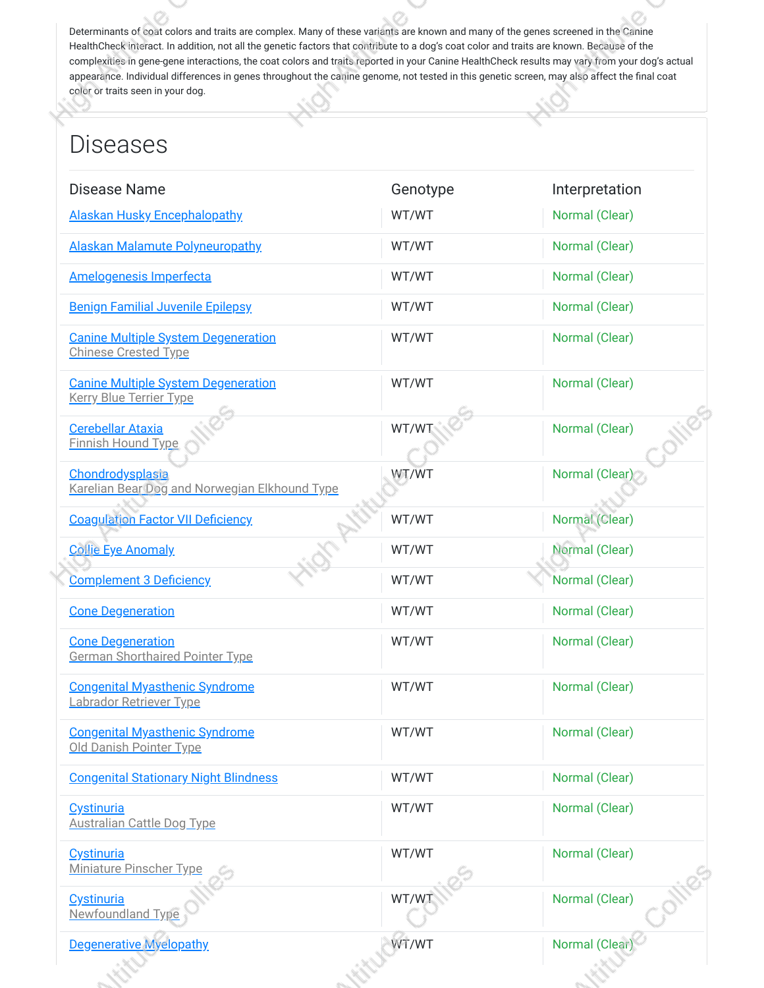Determinants of coat colors and traits are complex. Many of these variants are known and many of the genes screened in the Canine HealthCheck interact. In addition, not all the genetic factors that contribute to a dog's coat color and traits are known. Because of the complexities in gene-gene interactions, the coat colors and traits reported in your Canine HealthCheck results may vary from your dog's actual appearance. Individual differences in genes throughout the canine genome, not tested in this genetic screen, may also affect the final coat color or traits seen in your dog.

## Diseases

| Disease Name                                                                 | Genotype | Interpretation |
|------------------------------------------------------------------------------|----------|----------------|
| <b>Alaskan Husky Encephalopathy</b>                                          | WT/WT    | Normal (Clear) |
| <b>Alaskan Malamute Polyneuropathy</b>                                       | WT/WT    | Normal (Clear) |
| <b>Amelogenesis Imperfecta</b>                                               | WT/WT    | Normal (Clear) |
| <b>Benign Familial Juvenile Epilepsy</b>                                     | WT/WT    | Normal (Clear) |
| <b>Canine Multiple System Degeneration</b><br><b>Chinese Crested Type</b>    | WT/WT    | Normal (Clear) |
| <b>Canine Multiple System Degeneration</b><br><b>Kerry Blue Terrier Type</b> | WT/WT    | Normal (Clear) |
| <b>Cerebellar Ataxia</b><br><b>Finnish Hound Type</b>                        | WT/WT    | Normal (Clear) |
| Chondrodysplasia<br>Karelian Bear Dog and Norwegian Elkhound Type            | WT/WT    | Normal (Clear) |
| <b>Coagulation Factor VII Deficiency</b>                                     | WT/WT    | Normal (Clear) |
| <b>Collie Eye Anomaly</b>                                                    | WT/WT    | Normal (Clear) |
| <b>Complement 3 Deficiency</b>                                               | WT/WT    | Normal (Clear) |
| <b>Cone Degeneration</b>                                                     | WT/WT    | Normal (Clear) |
| <b>Cone Degeneration</b><br><b>German Shorthaired Pointer Type</b>           | WT/WT    | Normal (Clear) |
| <b>Congenital Myasthenic Syndrome</b><br>Labrador Retriever Type             | WT/WT    | Normal (Clear) |
| <b>Congenital Myasthenic Syndrome</b><br>Old Danish Pointer Type             | WT/WT    | Normal (Clear) |
| <b>Congenital Stationary Night Blindness</b>                                 | WT/WT    | Normal (Clear) |
| Cystinuria<br><b>Australian Cattle Dog Type</b>                              | WT/WT    | Normal (Clear) |
| Cystinuria<br><b>Miniature Pinscher Type</b>                                 | WT/WT    | Normal (Clear) |
| Cystinuria<br>Newfoundland Type                                              | WT/WT    | Normal (Clear) |
| <b>Degenerative Myelopathy</b>                                               | WT/WT    | Normal (Clear) |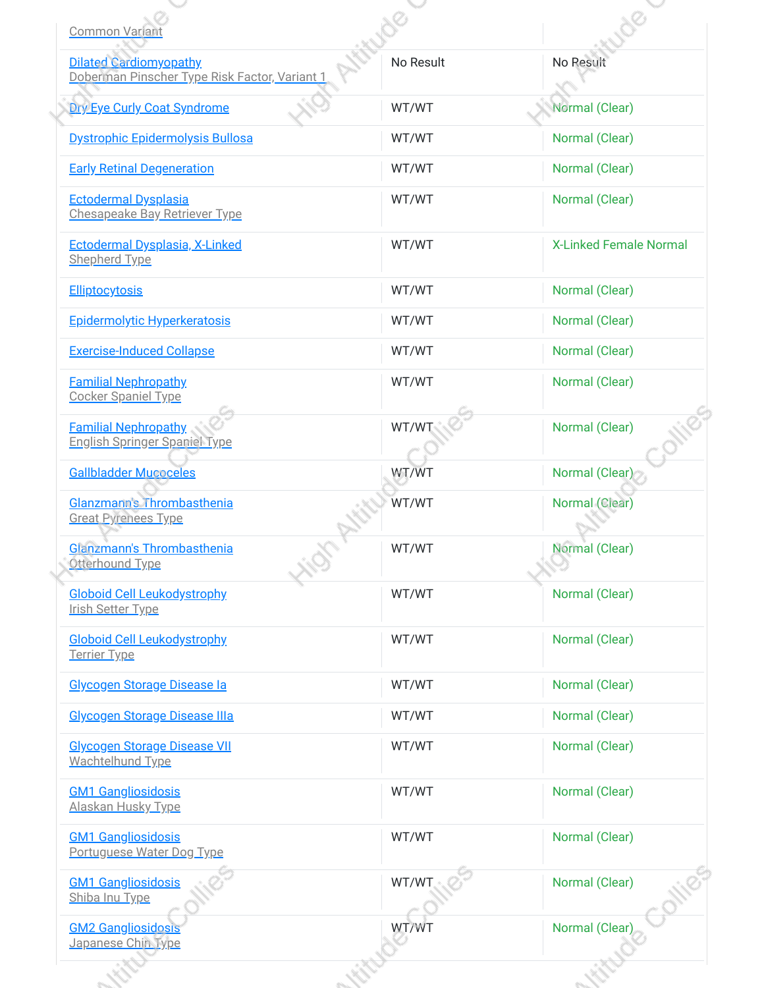| <b>Dilated Cardiomyopathy</b><br>Doberman Pinscher Type Risk Factor, Variant 1 | No Result | No Result                     |
|--------------------------------------------------------------------------------|-----------|-------------------------------|
| <b>Dry Eye Curly Coat Syndrome</b>                                             | WT/WT     | Normal (Clear)                |
| Dystrophic Epidermolysis Bullosa                                               | WT/WT     | Normal (Clear)                |
| <b>Early Retinal Degeneration</b>                                              | WT/WT     | Normal (Clear)                |
| <b>Ectodermal Dysplasia</b><br><b>Chesapeake Bay Retriever Type</b>            | WT/WT     | Normal (Clear)                |
| Ectodermal Dysplasia, X-Linked<br>Shepherd Type                                | WT/WT     | <b>X-Linked Female Normal</b> |
| <b>Elliptocytosis</b>                                                          | WT/WT     | Normal (Clear)                |
| <b>Epidermolytic Hyperkeratosis</b>                                            | WT/WT     | Normal (Clear)                |
| <b>Exercise-Induced Collapse</b>                                               | WT/WT     | Normal (Clear)                |
| <b>Familial Nephropathy</b><br><b>Cocker Spaniel Type</b>                      | WT/WT     | Normal (Clear)                |
| <b>Familial Nephropathy</b><br><b>English Springer Spaniel Type</b>            | WT/W7     | Normal (Clear)                |
| <b>Gallbladder Mucoceles</b>                                                   | WT/WT     | Normal (Clear)                |
| Glanzmann's Thrombasthenia<br><b>Great Pyrenees Type</b>                       | WT/WT     | Normal (Clear)                |
| Glanzmann's Thrombasthenia<br>Otterhound Type                                  | WT/WT     | Normal (Clear)                |
| <b>Globoid Cell Leukodystrophy</b><br>Irish Setter Type                        | WT/WT     | Normal (Clear)                |
| <b>Globoid Cell Leukodystrophy</b><br>Terrier Type                             | WT/WT     | Normal (Clear)                |
| Glycogen Storage Disease la                                                    | WT/WT     | Normal (Clear)                |
| Glycogen Storage Disease IIIa                                                  | WT/WT     | Normal (Clear)                |
| <b>Glycogen Storage Disease VII</b><br>Wachtelhund Type                        | WT/WT     | Normal (Clear)                |
| <b>GM1 Gangliosidosis</b><br>Alaskan Husky Type                                | WT/WT     | Normal (Clear)                |
| <b>GM1 Gangliosidosis</b><br>Portuguese Water Dog Type                         | WT/WT     | Normal (Clear)                |
| <b>GM1 Gangliosidosis</b><br>Shiba Inu Type                                    | WT/WT     | Normal (Clear)                |
| <b>GM2 Gangliosidosis</b><br>Japanese Chin Type                                | WT/WT     | Normal (Clear)                |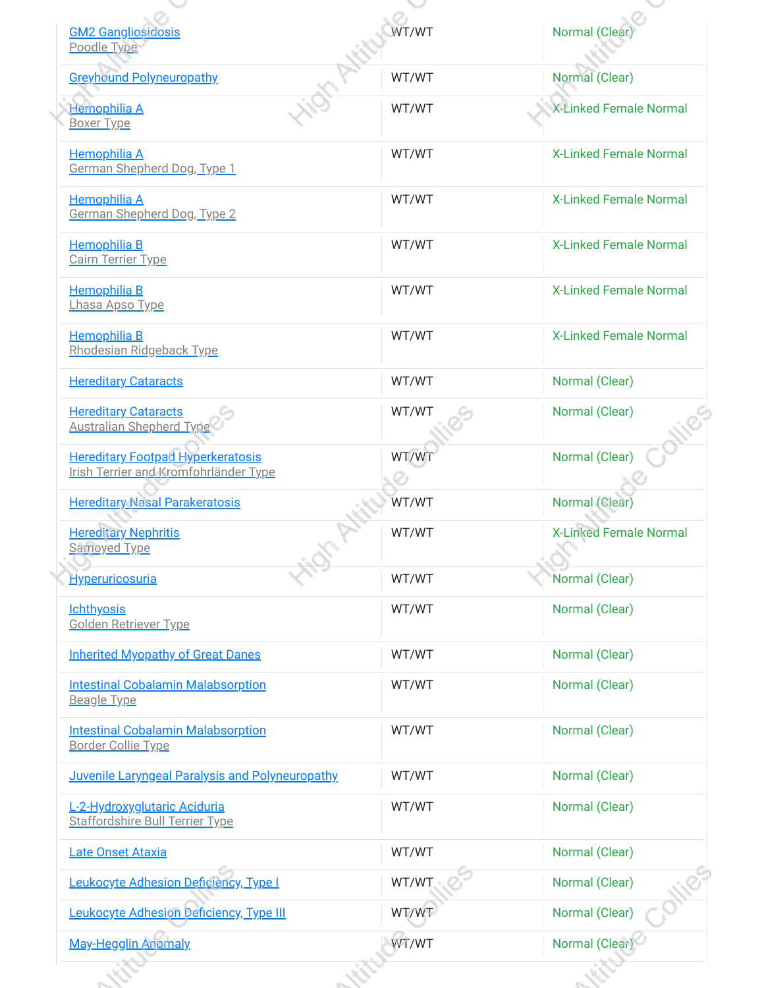| <b>GM2 Gangliosidosis</b><br>Poodle Type                                   | WT/WT | <b>Normal</b> (Clea           |
|----------------------------------------------------------------------------|-------|-------------------------------|
| <b>Greyhound Polyneuropathy</b>                                            | WT/WT | Normal (Clear)                |
| Hemophilia A<br><b>Boxer Type</b>                                          | WT/WT | <b>X-Linked Female Normal</b> |
| <b>Hemophilia A</b><br>German Shepherd Dog, Type 1                         | WT/WT | <b>X-Linked Female Normal</b> |
| <b>Hemophilia A</b><br>German Shepherd Dog, Type 2                         | WT/WT | <b>X-Linked Female Normal</b> |
| <b>Hemophilia B</b><br><b>Cairn Terrier Type</b>                           | WT/WT | <b>X-Linked Female Normal</b> |
| <b>Hemophilia B</b><br>Lhasa Apso Type                                     | WT/WT | <b>X-Linked Female Normal</b> |
| <b>Hemophilia B</b><br>Rhodesian Ridgeback Type                            | WT/WT | <b>X-Linked Female Normal</b> |
| <b>Hereditary Cataracts</b>                                                | WT/WT | Normal (Clear)                |
| <b>Hereditary Cataracts</b><br><b>Australian Shepherd Type</b>             | WT/WT | Normal (Clear)                |
| Hereditary Footpad Hyperkeratosis<br>Irish Terrier and Kromfohrländer Type | WT/WT | Normal (Clear)                |
| <b>Hereditary Nasal Parakeratosis</b>                                      | WT/WT | Normal (Clear)                |
| <b>Hereditary Nephritis</b><br>Samoyed Type                                | WT/WT | <b>X-Linked Female Normal</b> |
| <b>Hyperuricosuria</b>                                                     | WT/WT | Normal (Clear)                |
| <b>Ichthyosis</b><br>Golden Retriever Type                                 | WT/WT | Normal (Clear)                |
| <b>Inherited Myopathy of Great Danes</b>                                   | WT/WT | Normal (Clear)                |
| <b>Intestinal Cobalamin Malabsorption</b><br><b>Beagle Type</b>            | WT/WT | Normal (Clear)                |
| <b>Intestinal Cobalamin Malabsorption</b><br><b>Border Collie Type</b>     | WT/WT | Normal (Clear)                |
| Juvenile Laryngeal Paralysis and Polyneuropathy                            | WT/WT | Normal (Clear)                |
| L-2-Hydroxyglutaric Aciduria<br><b>Staffordshire Bull Terrier Type</b>     | WT/WT | Normal (Clear)                |
| Late Onset Ataxia                                                          | WT/WT | Normal (Clear)                |
| Leukocyte Adhesion Deficiency, Type I                                      | WT/WT | Normal (Clear)                |
| Leukocyte Adhesion Deficiency, Type III                                    | WT/WT | Normal (Clear)                |
| <b>May-Hegglin Anomaly</b>                                                 | WT/WT | Normal (Clear)                |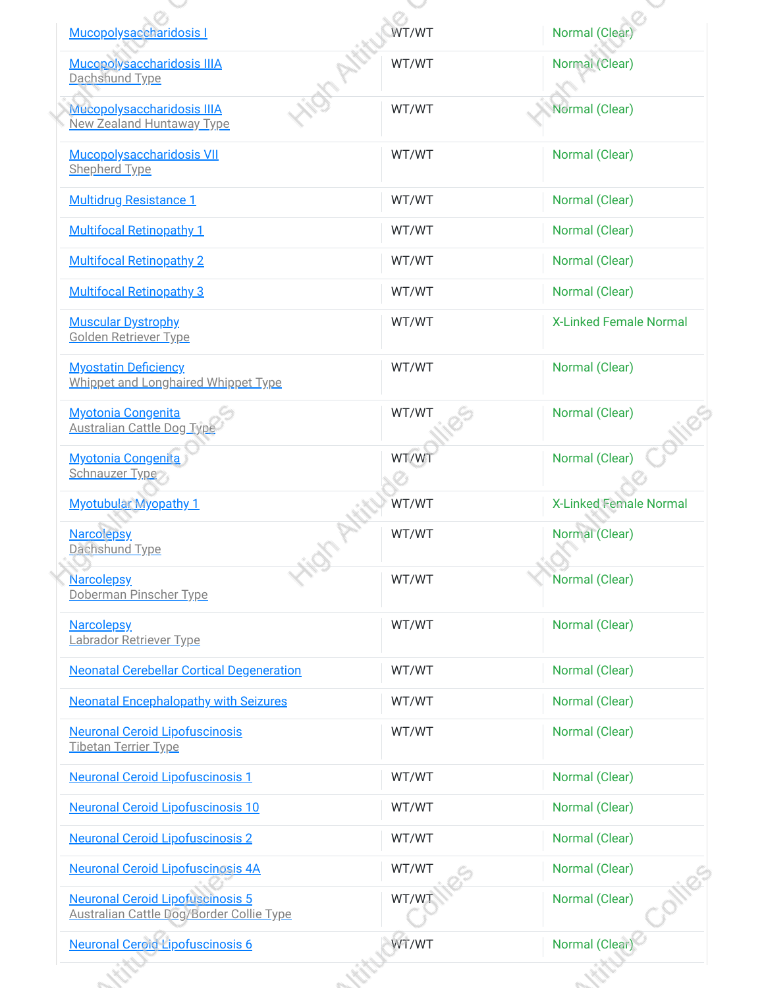| Mucopolysaccharidosis I                                                                    | WT/WT | <b>Normal</b> (Clear          |
|--------------------------------------------------------------------------------------------|-------|-------------------------------|
| Mucopolysaccharidosis IIIA<br>Dachshund Type                                               | WT/WT | Normal (Clear)                |
| Mucopolysaccharidosis IIIA<br><b>New Zealand Huntaway Type</b>                             | WT/WT | Normal (Clear)                |
| Mucopolysaccharidosis VII<br><b>Shepherd Type</b>                                          | WT/WT | Normal (Clear)                |
| <b>Multidrug Resistance 1</b>                                                              | WT/WT | Normal (Clear)                |
| <b>Multifocal Retinopathy 1</b>                                                            | WT/WT | Normal (Clear)                |
| <b>Multifocal Retinopathy 2</b>                                                            | WT/WT | Normal (Clear)                |
| <b>Multifocal Retinopathy 3</b>                                                            | WT/WT | Normal (Clear)                |
| <b>Muscular Dystrophy</b><br><b>Golden Retriever Type</b>                                  | WT/WT | <b>X-Linked Female Normal</b> |
| <b>Myostatin Deficiency</b><br>Whippet and Longhaired Whippet Type                         | WT/WT | Normal (Clear)                |
| <b>Myotonia Congenita</b><br><b>Australian Cattle Dog Type</b>                             | WT/WT | Normal (Clear)                |
| <b>Myotonia Congenita</b><br>Schnauzer Type                                                | WT/WT | Normal (Clear)                |
| <b>Myotubular Myopathy 1</b>                                                               | WT/WT | <b>X-Linked Female Normal</b> |
| <b>Narcolepsy</b><br>Dachshund Type                                                        | WT/WT | Normal (Clear)                |
| <b>Narcolepsy</b><br>Doberman Pinscher Type                                                | WT/WT | Normal (Clear)                |
| <b>Narcolepsy</b><br>Labrador Retriever Type                                               | WT/WT | Normal (Clear)                |
| <b>Neonatal Cerebellar Cortical Degeneration</b>                                           | WT/WT | Normal (Clear)                |
| <b>Neonatal Encephalopathy with Seizures</b>                                               | WT/WT | Normal (Clear)                |
| <b>Neuronal Ceroid Lipofuscinosis</b><br>Tibetan Terrier Type                              | WT/WT | Normal (Clear)                |
| <b>Neuronal Ceroid Lipofuscinosis 1</b>                                                    | WT/WT | Normal (Clear)                |
| <b>Neuronal Ceroid Lipofuscinosis 10</b>                                                   | WT/WT | Normal (Clear)                |
| <b>Neuronal Ceroid Lipofuscinosis 2</b>                                                    | WT/WT | Normal (Clear)                |
| <b>Neuronal Ceroid Lipofuscinosis 4A</b>                                                   | WT/WT | Normal (Clear)                |
| <b>Neuronal Ceroid Lipofuscinosis 5</b><br><b>Australian Cattle Dog/Border Collie Type</b> | WT/WT | Normal (Clear)                |
| <b>Neuronal Ceroid Lipofuscinosis 6</b>                                                    | WT/WT | Normal (Clear)                |
|                                                                                            |       |                               |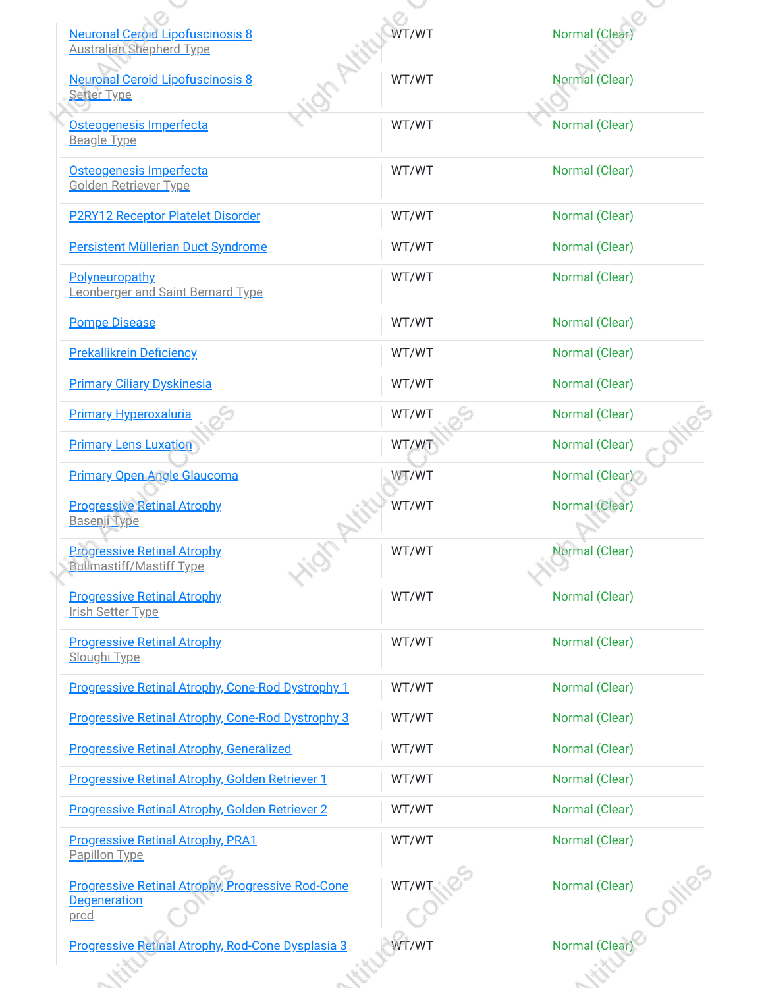| <b>Neuronal Ceroid Lipofuscinosis 8</b><br><b>Australian Shepherd Type</b>              | WT/WT | <b>Normal</b> (Clea |
|-----------------------------------------------------------------------------------------|-------|---------------------|
| <b>Neuronal Ceroid Lipofuscinosis 8</b><br><b>Setter Type</b>                           | WT/WT | Normal (Clear)      |
| Osteogenesis Imperfecta<br><b>Beagle Type</b>                                           | WT/WT | Normal (Clear)      |
| Osteogenesis Imperfecta<br><b>Golden Retriever Type</b>                                 | WT/WT | Normal (Clear)      |
| <b>P2RY12 Receptor Platelet Disorder</b>                                                | WT/WT | Normal (Clear)      |
| Persistent Müllerian Duct Syndrome                                                      | WT/WT | Normal (Clear)      |
| <b>Polyneuropathy</b><br>Leonberger and Saint Bernard Type                              | WT/WT | Normal (Clear)      |
| <b>Pompe Disease</b>                                                                    | WT/WT | Normal (Clear)      |
| <b>Prekallikrein Deficiency</b>                                                         | WT/WT | Normal (Clear)      |
| <b>Primary Ciliary Dyskinesia</b>                                                       | WT/WT | Normal (Clear)      |
| <b>Primary Hyperoxaluria</b>                                                            | WT/WT | Normal (Clear)      |
| <b>Primary Lens Luxation</b>                                                            | WT/WT | Normal (Clear)      |
| <b>Primary Open Angle Glaucoma</b>                                                      | WT/WT | Normal (Clear)      |
| <b>Progressive Retinal Atrophy</b><br>Basenji Type                                      | WT/WT | Normal (Clear)      |
| <b>Progressive Retinal Atrophy</b><br><b>Bullmastiff/Mastiff Type</b>                   | WT/WT | Normal (Clear)      |
| <b>Progressive Retinal Atrophy</b><br>Irish Setter Type                                 | WT/WT | Normal (Clear)      |
| <b>Progressive Retinal Atrophy</b><br>Sloughi Type                                      | WT/WT | Normal (Clear)      |
| Progressive Retinal Atrophy, Cone-Rod Dystrophy 1                                       | WT/WT | Normal (Clear)      |
| Progressive Retinal Atrophy, Cone-Rod Dystrophy 3                                       | WT/WT | Normal (Clear)      |
| <b>Progressive Retinal Atrophy, Generalized</b>                                         | WT/WT | Normal (Clear)      |
| <b>Progressive Retinal Atrophy, Golden Retriever 1</b>                                  | WT/WT | Normal (Clear)      |
| Progressive Retinal Atrophy, Golden Retriever 2                                         | WT/WT | Normal (Clear)      |
| <b>Progressive Retinal Atrophy, PRA1</b><br>Papillon Type                               | WT/WT | Normal (Clear)      |
| <b>Progressive Retinal Atrophy, Progressive Rod-Cone</b><br><b>Degeneration</b><br>prcd | WT/WT | Normal (Clear)      |
| Progressive Retinal Atrophy, Rod-Cone Dysplasia 3                                       | WT/WT | Normal (Clear)      |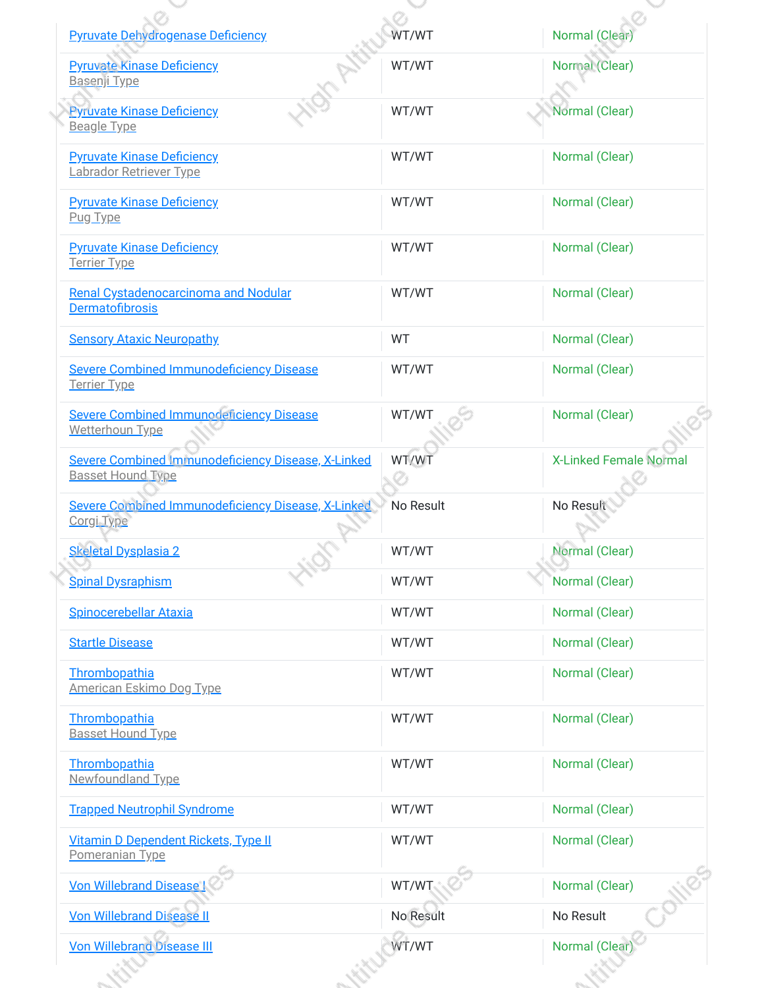| <b>Pyruvate Dehydrogenase Deficiency</b>                                       | WT/WT     | <b>Normal</b> (Clea           |
|--------------------------------------------------------------------------------|-----------|-------------------------------|
| <b>Pyruvate Kinase Deficiency</b><br>Basenji Type                              | WT/WT     | Normal (Clear)                |
| <b>Pyruvate Kinase Deficiency</b><br><b>Beagle Type</b>                        | WT/WT     | Normal (Clear)                |
| <b>Pyruvate Kinase Deficiency</b><br>Labrador Retriever Type                   | WT/WT     | Normal (Clear)                |
| <b>Pyruvate Kinase Deficiency</b><br>Pug Type                                  | WT/WT     | Normal (Clear)                |
| <b>Pyruvate Kinase Deficiency</b><br><b>Terrier Type</b>                       | WT/WT     | Normal (Clear)                |
| Renal Cystadenocarcinoma and Nodular<br>Dermatofibrosis                        | WT/WT     | Normal (Clear)                |
| <b>Sensory Ataxic Neuropathy</b>                                               | <b>WT</b> | Normal (Clear)                |
| <b>Severe Combined Immunodeficiency Disease</b><br><b>Terrier Type</b>         | WT/WT     | Normal (Clear)                |
| <b>Severe Combined Immunodeficiency Disease</b><br>Wetterhoun Type             | WT/WT     | Normal (Clear)                |
| Severe Combined Immunodeficiency Disease, X-Linked<br><b>Basset Hound Type</b> | WT/WT     | <b>X-Linked Female Normal</b> |
| Severe Combined Immunodeficiency Disease, X-Linked<br>Corgi Type               | No Result | No Result                     |
| <b>Skeletal Dysplasia 2</b>                                                    | WT/WT     | Normal (Clear)                |
| <b>Spinal Dysraphism</b>                                                       | WT/WT     | Normal (Clear)                |
| <b>Spinocerebellar Ataxia</b>                                                  | WT/WT     | Normal (Clear)                |
| <b>Startle Disease</b>                                                         | WT/WT     | Normal (Clear)                |
| Thrombopathia<br><b>American Eskimo Dog Type</b>                               | WT/WT     | Normal (Clear)                |
| Thrombopathia<br><b>Basset Hound Type</b>                                      | WT/WT     | Normal (Clear)                |
| Thrombopathia<br>Newfoundland Type                                             | WT/WT     | Normal (Clear)                |
| <b>Trapped Neutrophil Syndrome</b>                                             | WT/WT     | Normal (Clear)                |
| Vitamin D Dependent Rickets, Type II<br>Pomeranian Type                        | WT/WT     | Normal (Clear)                |
| <b>Von Willebrand Disease I</b>                                                | WT/WT     | Normal (Clear)                |
| <b>Von Willebrand Disease II</b>                                               | No Result | No Result                     |
| <b>Von Willebrand Disease III</b>                                              | WT/WT     | <b>Normal</b> (Clear          |
|                                                                                |           |                               |